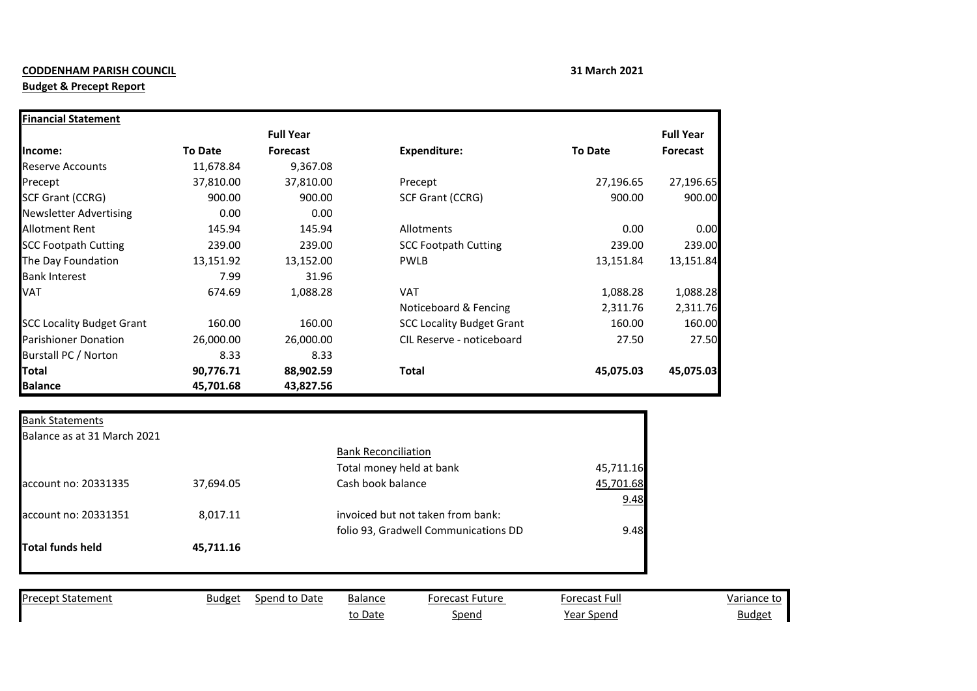## **CODDENHAM PARISH COUNCIL 31 March 2021**

## **Budget & Precept Report**

to Date Spend Spend Year Spend Budget

|                                                                         |                | <b>Full Year</b> |                                      |                | <b>Full Year</b> |
|-------------------------------------------------------------------------|----------------|------------------|--------------------------------------|----------------|------------------|
| Income:                                                                 | <b>To Date</b> | <b>Forecast</b>  | <b>Expenditure:</b>                  | <b>To Date</b> | Forecast         |
| <b>Reserve Accounts</b>                                                 | 11,678.84      | 9,367.08         |                                      |                |                  |
| Precept                                                                 | 37,810.00      | 37,810.00        | Precept                              | 27,196.65      | 27,196.65        |
| <b>SCF Grant (CCRG)</b>                                                 | 900.00         | 900.00           | <b>SCF Grant (CCRG)</b>              | 900.00         | 900.00           |
| <b>Newsletter Advertising</b>                                           | 0.00           | 0.00             |                                      |                |                  |
| <b>Allotment Rent</b>                                                   | 145.94         | 145.94           | Allotments                           | 0.00           | 0.00             |
| <b>SCC Footpath Cutting</b>                                             | 239.00         | 239.00           | <b>SCC Footpath Cutting</b>          | 239.00         | 239.00           |
| The Day Foundation                                                      | 13,151.92      | 13,152.00        | <b>PWLB</b>                          | 13,151.84      | 13,151.84        |
| <b>Bank Interest</b>                                                    | 7.99           | 31.96            |                                      |                |                  |
| <b>VAT</b>                                                              | 674.69         | 1,088.28         | <b>VAT</b>                           | 1,088.28       | 1,088.28         |
|                                                                         |                |                  | Noticeboard & Fencing                | 2,311.76       | 2,311.76         |
| <b>SCC Locality Budget Grant</b>                                        | 160.00         | 160.00           | <b>SCC Locality Budget Grant</b>     | 160.00         | 160.00           |
| <b>Parishioner Donation</b>                                             | 26,000.00      | 26,000.00        | CIL Reserve - noticeboard            | 27.50          | 27.50            |
| Burstall PC / Norton                                                    | 8.33           | 8.33             |                                      |                |                  |
| <b>Total</b>                                                            | 90,776.71      | 88,902.59        | <b>Total</b>                         | 45,075.03      | 45,075.03        |
|                                                                         |                |                  |                                      |                |                  |
|                                                                         | 45,701.68      | 43,827.56        |                                      |                |                  |
|                                                                         |                |                  |                                      |                |                  |
|                                                                         |                |                  |                                      |                |                  |
|                                                                         |                |                  |                                      |                |                  |
|                                                                         |                |                  | <b>Bank Reconciliation</b>           |                |                  |
| <b>Balance</b><br><b>Bank Statements</b><br>Balance as at 31 March 2021 |                |                  | Total money held at bank             | 45,711.16      |                  |
|                                                                         | 37,694.05      |                  | Cash book balance                    | 45,701.68      |                  |
| account no: 20331335                                                    |                |                  |                                      | 9.48           |                  |
| account no: 20331351                                                    | 8,017.11       |                  | invoiced but not taken from bank:    |                |                  |
|                                                                         |                |                  | folio 93, Gradwell Communications DD | 9.48           |                  |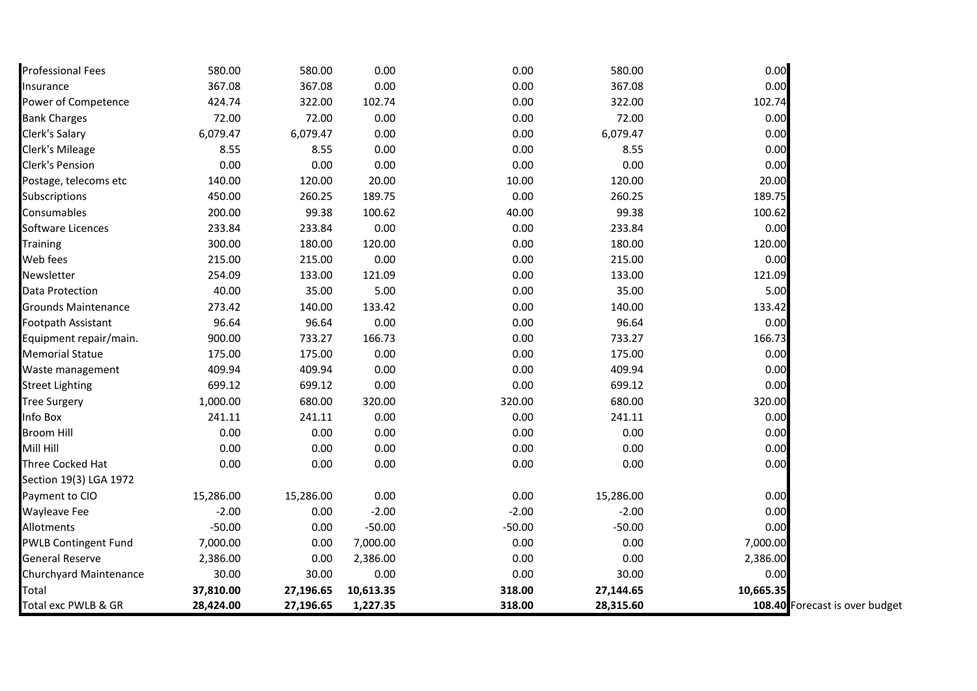| Professional Fees           | 580.00    | 580.00    | 0.00      | 0.00     | 580.00    | 0.00      |                                |
|-----------------------------|-----------|-----------|-----------|----------|-----------|-----------|--------------------------------|
| Insurance                   | 367.08    | 367.08    | 0.00      | 0.00     | 367.08    | 0.00      |                                |
| Power of Competence         | 424.74    | 322.00    | 102.74    | 0.00     | 322.00    | 102.74    |                                |
| <b>Bank Charges</b>         | 72.00     | 72.00     | 0.00      | 0.00     | 72.00     | 0.00      |                                |
| Clerk's Salary              | 6,079.47  | 6,079.47  | 0.00      | 0.00     | 6,079.47  | 0.00      |                                |
| Clerk's Mileage             | 8.55      | 8.55      | 0.00      | 0.00     | 8.55      | 0.00      |                                |
| Clerk's Pension             | 0.00      | 0.00      | 0.00      | 0.00     | 0.00      | 0.00      |                                |
| Postage, telecoms etc       | 140.00    | 120.00    | 20.00     | 10.00    | 120.00    | 20.00     |                                |
| <b>Subscriptions</b>        | 450.00    | 260.25    | 189.75    | 0.00     | 260.25    | 189.75    |                                |
| Consumables                 | 200.00    | 99.38     | 100.62    | 40.00    | 99.38     | 100.62    |                                |
| Software Licences           | 233.84    | 233.84    | 0.00      | 0.00     | 233.84    | 0.00      |                                |
| Training                    | 300.00    | 180.00    | 120.00    | 0.00     | 180.00    | 120.00    |                                |
| Web fees                    | 215.00    | 215.00    | 0.00      | 0.00     | 215.00    | 0.00      |                                |
| Newsletter                  | 254.09    | 133.00    | 121.09    | 0.00     | 133.00    | 121.09    |                                |
| Data Protection             | 40.00     | 35.00     | 5.00      | 0.00     | 35.00     | 5.00      |                                |
| <b>Grounds Maintenance</b>  | 273.42    | 140.00    | 133.42    | 0.00     | 140.00    | 133.42    |                                |
| Footpath Assistant          | 96.64     | 96.64     | 0.00      | 0.00     | 96.64     | 0.00      |                                |
| Equipment repair/main.      | 900.00    | 733.27    | 166.73    | 0.00     | 733.27    | 166.73    |                                |
| Memorial Statue             | 175.00    | 175.00    | 0.00      | 0.00     | 175.00    | 0.00      |                                |
| Waste management            | 409.94    | 409.94    | 0.00      | 0.00     | 409.94    | 0.00      |                                |
| <b>Street Lighting</b>      | 699.12    | 699.12    | 0.00      | 0.00     | 699.12    | 0.00      |                                |
| <b>Tree Surgery</b>         | 1,000.00  | 680.00    | 320.00    | 320.00   | 680.00    | 320.00    |                                |
| Info Box                    | 241.11    | 241.11    | 0.00      | 0.00     | 241.11    | 0.00      |                                |
| Broom Hill                  | 0.00      | 0.00      | 0.00      | 0.00     | 0.00      | 0.00      |                                |
| Mill Hill                   | 0.00      | 0.00      | 0.00      | 0.00     | 0.00      | 0.00      |                                |
| Three Cocked Hat            | 0.00      | 0.00      | 0.00      | 0.00     | 0.00      | 0.00      |                                |
| Section 19(3) LGA 1972      |           |           |           |          |           |           |                                |
| Payment to CIO              | 15,286.00 | 15,286.00 | 0.00      | 0.00     | 15,286.00 | 0.00      |                                |
| Wayleave Fee                | $-2.00$   | 0.00      | $-2.00$   | $-2.00$  | $-2.00$   | 0.00      |                                |
| Allotments                  | $-50.00$  | 0.00      | $-50.00$  | $-50.00$ | $-50.00$  | 0.00      |                                |
| <b>PWLB Contingent Fund</b> | 7,000.00  | 0.00      | 7,000.00  | 0.00     | 0.00      | 7,000.00  |                                |
| General Reserve             | 2,386.00  | 0.00      | 2,386.00  | 0.00     | 0.00      | 2,386.00  |                                |
| Churchyard Maintenance      | 30.00     | 30.00     | 0.00      | 0.00     | 30.00     | 0.00      |                                |
| Total                       | 37,810.00 | 27,196.65 | 10,613.35 | 318.00   | 27,144.65 | 10,665.35 |                                |
| Total exc PWLB & GR         | 28,424.00 | 27,196.65 | 1,227.35  | 318.00   | 28,315.60 |           | 108.40 Forecast is over budget |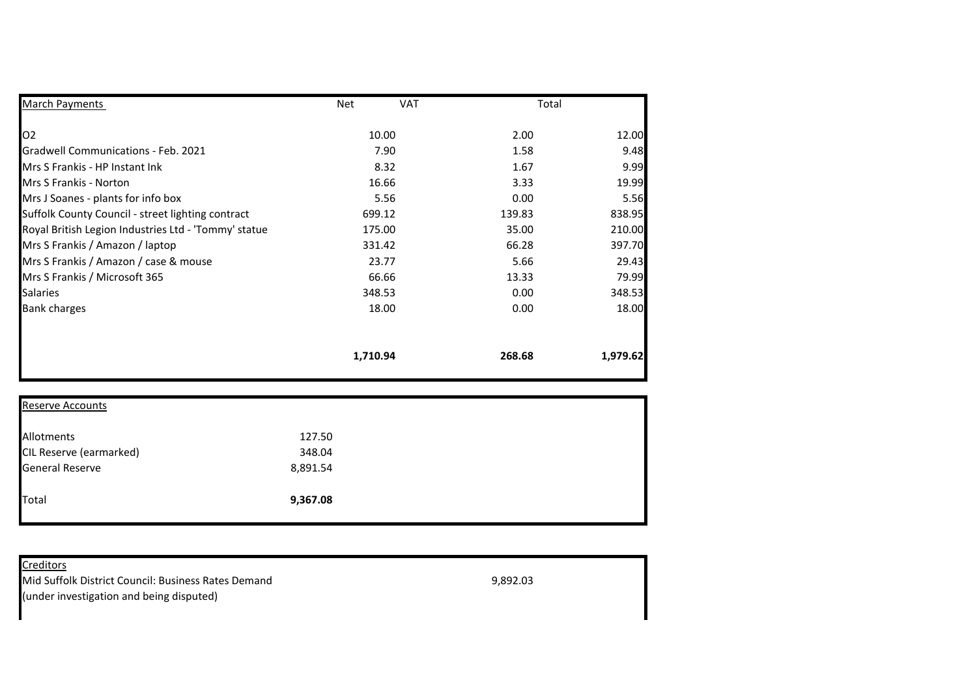| <b>March Payments</b>                                | <b>Net</b> | <b>VAT</b> | Total    |
|------------------------------------------------------|------------|------------|----------|
| O <sub>2</sub>                                       | 10.00      | 2.00       | 12.00    |
| <b>Gradwell Communications - Feb. 2021</b>           | 7.90       | 1.58       | 9.48     |
| Mrs S Frankis - HP Instant Ink                       | 8.32       | 1.67       | 9.99     |
| <b>Mrs S Frankis - Norton</b>                        | 16.66      | 3.33       | 19.99    |
| Mrs J Soanes - plants for info box                   | 5.56       | 0.00       | 5.56     |
| Suffolk County Council - street lighting contract    | 699.12     | 139.83     | 838.95   |
| Royal British Legion Industries Ltd - 'Tommy' statue | 175.00     | 35.00      | 210.00   |
| Mrs S Frankis / Amazon / laptop                      | 331.42     | 66.28      | 397.70   |
| Mrs S Frankis / Amazon / case & mouse                | 23.77      | 5.66       | 29.43    |
| Mrs S Frankis / Microsoft 365                        | 66.66      | 13.33      | 79.99    |
| <b>Salaries</b>                                      | 348.53     | 0.00       | 348.53   |
| <b>Bank charges</b>                                  | 18.00      | 0.00       | 18.00    |
|                                                      | 1,710.94   | 268.68     | 1,979.62 |

| <b>Reserve Accounts</b> |          |  |
|-------------------------|----------|--|
| Allotments              | 127.50   |  |
| CIL Reserve (earmarked) | 348.04   |  |
| <b>General Reserve</b>  | 8,891.54 |  |
| Total                   | 9,367.08 |  |
|                         |          |  |

| <b>Creditors</b>                                    |          |  |
|-----------------------------------------------------|----------|--|
| Mid Suffolk District Council: Business Rates Demand | 9,892.03 |  |
| (under investigation and being disputed)            |          |  |
|                                                     |          |  |